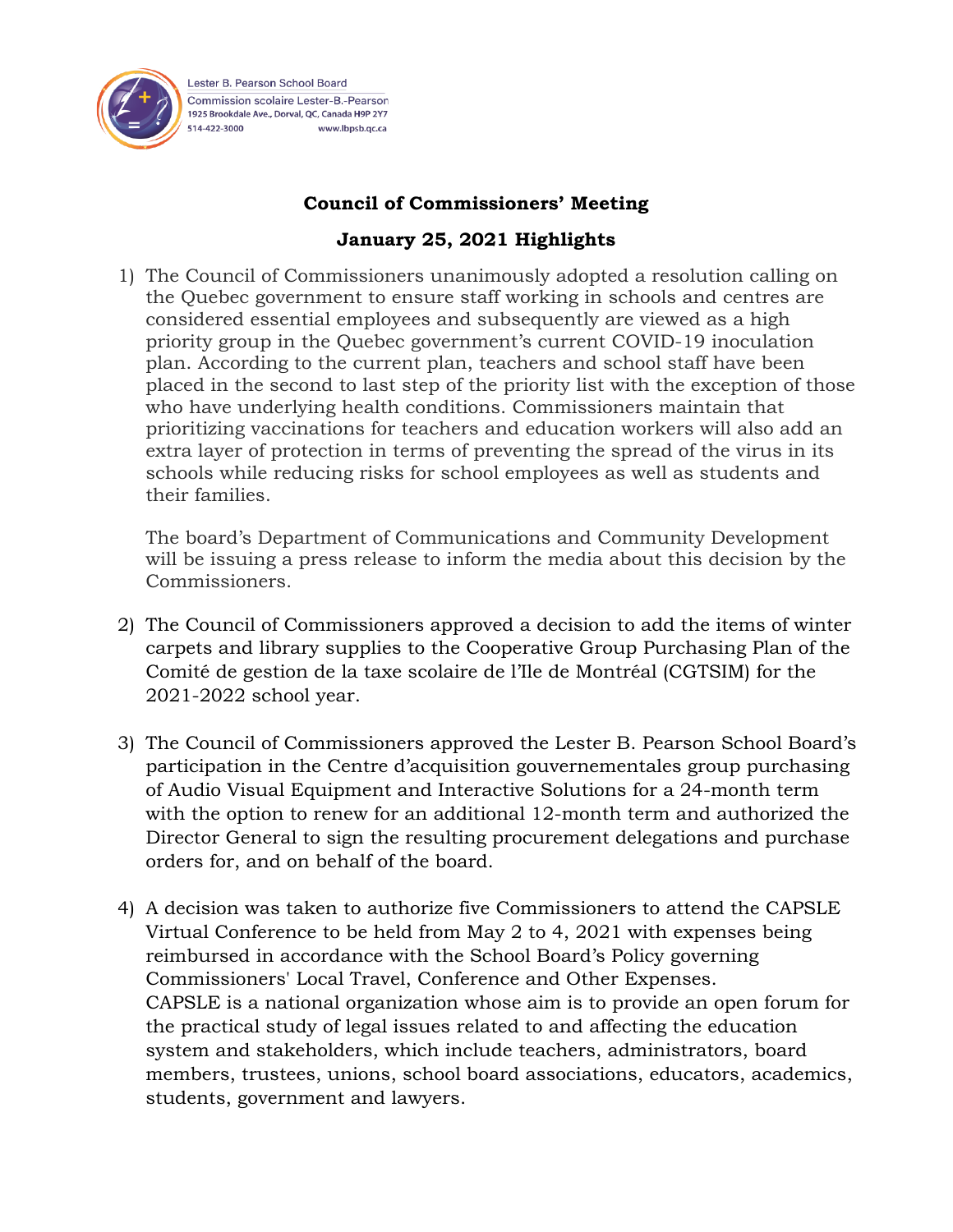

Lester B. Pearson School Board Commission scolaire Lester-B - Pearson 1925 Brookdale Ave., Dorval, QC, Canada H9P 2Y7 514-422-3000 www.lbpsb.qc.ca

## **Council of Commissioners' Meeting**

## **January 25, 2021 Highlights**

1) The Council of Commissioners unanimously adopted a resolution calling on the Quebec government to ensure staff working in schools and centres are considered essential employees and subsequently are viewed as a high priority group in the Quebec government's current COVID-19 inoculation plan. According to the current plan, teachers and school staff have been placed in the second to last step of the priority list with the exception of those who have underlying health conditions. Commissioners maintain that prioritizing vaccinations for teachers and education workers will also add an extra layer of protection in terms of preventing the spread of the virus in its schools while reducing risks for school employees as well as students and their families.

The board's Department of Communications and Community Development will be issuing a press release to inform the media about this decision by the Commissioners.

- 2) The Council of Commissioners approved a decision to add the items of winter carpets and library supplies to the Cooperative Group Purchasing Plan of the Comité de gestion de la taxe scolaire de l'Ile de Montréal (CGTSIM) for the 2021-2022 school year.
- 3) The Council of Commissioners approved the Lester B. Pearson School Board's participation in the Centre d'acquisition gouvernementales group purchasing of Audio Visual Equipment and Interactive Solutions for a 24-month term with the option to renew for an additional 12-month term and authorized the Director General to sign the resulting procurement delegations and purchase orders for, and on behalf of the board.
- 4) A decision was taken to authorize five Commissioners to attend the CAPSLE Virtual Conference to be held from May 2 to 4, 2021 with expenses being reimbursed in accordance with the School Board's Policy governing Commissioners' Local Travel, Conference and Other Expenses. CAPSLE is a national organization whose aim is to provide an open forum for the practical study of legal issues related to and affecting the education system and stakeholders, which include teachers, administrators, board members, trustees, unions, school board associations, educators, academics, students, government and lawyers.